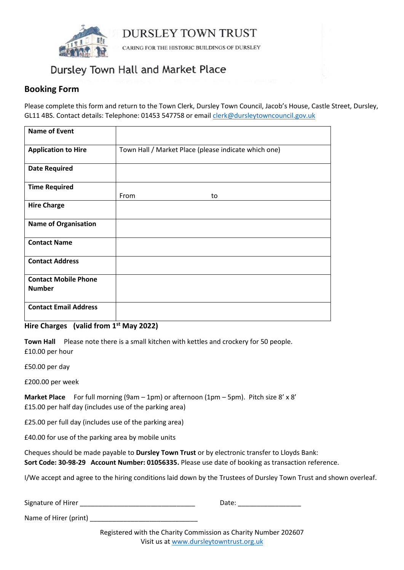

**DURSLEY TOWN TRUST** 

CARING FOR THE HISTORIC BUILDINGS OF DURSLEY

## Dursley Town Hall and Market Place

### **Booking Form**

Please complete this form and return to the Town Clerk, Dursley Town Council, Jacob's House, Castle Street, Dursley, GL11 4BS. Contact details: Telephone: 01453 547758 or emai[l clerk@dursleytowncouncil.gov.uk](mailto:clerk@dursleytowncouncil.gov.uk)

| <b>Name of Event</b>                         |                                                      |
|----------------------------------------------|------------------------------------------------------|
| <b>Application to Hire</b>                   | Town Hall / Market Place (please indicate which one) |
| <b>Date Required</b>                         |                                                      |
| <b>Time Required</b>                         |                                                      |
|                                              | From<br>to                                           |
| <b>Hire Charge</b>                           |                                                      |
| <b>Name of Organisation</b>                  |                                                      |
| <b>Contact Name</b>                          |                                                      |
| <b>Contact Address</b>                       |                                                      |
| <b>Contact Mobile Phone</b><br><b>Number</b> |                                                      |
| <b>Contact Email Address</b>                 |                                                      |

#### **Hire Charges (valid from 1st May 2022)**

**Town Hall** Please note there is a small kitchen with kettles and crockery for 50 people. £10.00 per hour

£50.00 per day

£200.00 per week

**Market Place** For full morning (9am – 1pm) or afternoon (1pm – 5pm). Pitch size 8' x 8' £15.00 per half day (includes use of the parking area)

£25.00 per full day (includes use of the parking area)

£40.00 for use of the parking area by mobile units

Cheques should be made payable to **Dursley Town Trust** or by electronic transfer to Lloyds Bank: **Sort Code: 30-98-29 Account Number: 01056335.** Please use date of booking as transaction reference.

I/We accept and agree to the hiring conditions laid down by the Trustees of Dursley Town Trust and shown overleaf.

| Signature of Hirer |  |  |
|--------------------|--|--|
|--------------------|--|--|

Name of Hirer (print)

 $Date:$ 

Registered with the Charity Commission as Charity Number 202607 Visit us at [www.dursleytowntrust.org.uk](http://www.dursleytowntrust.org.uk/)